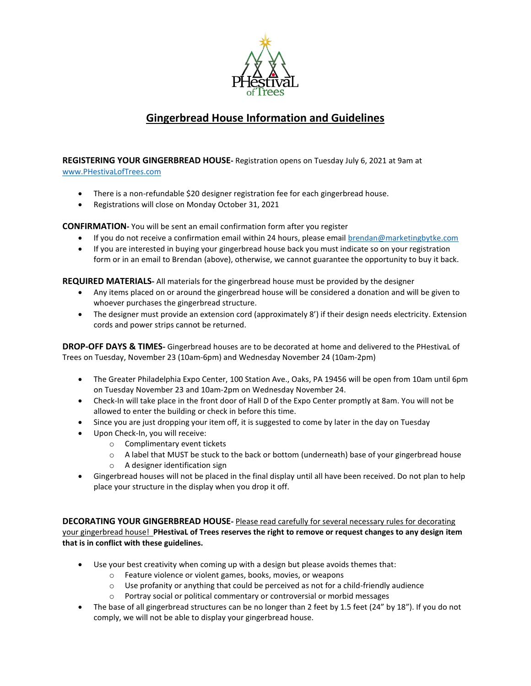

## **Gingerbread House Information and Guidelines**

**REGISTERING YOUR GINGERBREAD HOUSE-** Registration opens on Tuesday July 6, 2021 at 9am at [www.PHestivaLofTrees.com](http://www.phestivaloftrees.com/)

- There is a non-refundable \$20 designer registration fee for each gingerbread house.
- Registrations will close on Monday October 31, 2021

**CONFIRMATION-** You will be sent an email confirmation form after you register

- If you do not receive a confirmation email within 24 hours, please emai[l brendan@marketingbytke.com](mailto:brendan@marketingbytke.com)
- If you are interested in buying your gingerbread house back you must indicate so on your registration form or in an email to Brendan (above), otherwise, we cannot guarantee the opportunity to buy it back.

**REQUIRED MATERIALS-** All materials for the gingerbread house must be provided by the designer

- Any items placed on or around the gingerbread house will be considered a donation and will be given to whoever purchases the gingerbread structure.
- The designer must provide an extension cord (approximately 8') if their design needs electricity. Extension cords and power strips cannot be returned.

**DROP-OFF DAYS & TIMES-** Gingerbread houses are to be decorated at home and delivered to the PHestivaL of Trees on Tuesday, November 23 (10am-6pm) and Wednesday November 24 (10am-2pm)

- The Greater Philadelphia Expo Center, 100 Station Ave., Oaks, PA 19456 will be open from 10am until 6pm on Tuesday November 23 and 10am-2pm on Wednesday November 24.
- Check-In will take place in the front door of Hall D of the Expo Center promptly at 8am. You will not be allowed to enter the building or check in before this time.
- Since you are just dropping your item off, it is suggested to come by later in the day on Tuesday
- Upon Check-In, you will receive:
	- o Complimentary event tickets
	- $\circ$  A label that MUST be stuck to the back or bottom (underneath) base of your gingerbread house
	- o A designer identification sign
- Gingerbread houses will not be placed in the final display until all have been received. Do not plan to help place your structure in the display when you drop it off.

**DECORATING YOUR GINGERBREAD HOUSE-** Please read carefully for several necessary rules for decorating your gingerbread house! **PHestivaL of Trees reserves the right to remove or request changes to any design item that is in conflict with these guidelines.**

- Use your best creativity when coming up with a design but please avoids themes that:
	- o Feature violence or violent games, books, movies, or weapons
	- $\circ$  Use profanity or anything that could be perceived as not for a child-friendly audience
	- o Portray social or political commentary or controversial or morbid messages
- The base of all gingerbread structures can be no longer than 2 feet by 1.5 feet (24" by 18"). If you do not comply, we will not be able to display your gingerbread house.